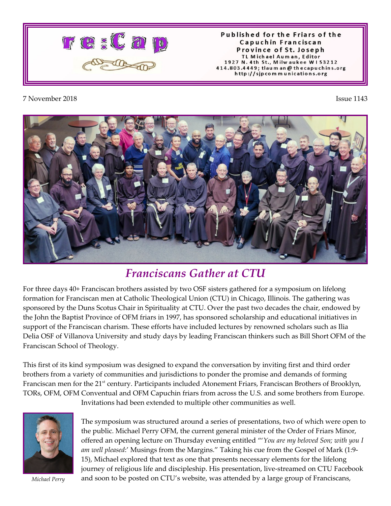

Published for the Friars of the Capuchin Franciscan Province of St. Joseph TL Michael Auman, Editor 1927 N. 4th St., Milwaukee W153212 414.803.4449; tlaum an @ thecapuchins.org http://sjpcommunications.org

## 7 November 2018 Issue 1143



## *Franciscans Gather at CTU*

For three days 40+ Franciscan brothers assisted by two OSF sisters gathered for a symposium on lifelong formation for Franciscan men at Catholic Theological Union (CTU) in Chicago, Illinois. The gathering was sponsored by the Duns Scotus Chair in Spirituality at CTU. Over the past two decades the chair, endowed by the John the Baptist Province of OFM friars in 1997, has sponsored scholarship and educational initiatives in support of the Franciscan charism. These efforts have included lectures by renowned scholars such as Ilia Delia OSF of Villanova University and study days by leading Franciscan thinkers such as Bill Short OFM of the Franciscan School of Theology.

This first of its kind symposium was designed to expand the conversation by inviting first and third order brothers from a variety of communities and jurisdictions to ponder the promise and demands of forming Franciscan men for the 21<sup>st</sup> century. Participants included Atonement Friars, Franciscan Brothers of Brooklyn, TORs, OFM, OFM Conventual and OFM Capuchin friars from across the U.S. and some brothers from Europe.

Invitations had been extended to multiple other communities as well.



*Michael Perry*

The symposium was structured around a series of presentations, two of which were open to the public. Michael Perry OFM, the current general minister of the Order of Friars Minor, offered an opening lecture on Thursday evening entitled "'*You are my beloved Son; with you I am well pleased*:' Musings from the Margins." Taking his cue from the Gospel of Mark (1:9- 15), Michael explored that text as one that presents necessary elements for the lifelong journey of religious life and discipleship. His presentation, live-streamed on CTU Facebook and soon to be posted on CTU's website, was attended by a large group of Franciscans,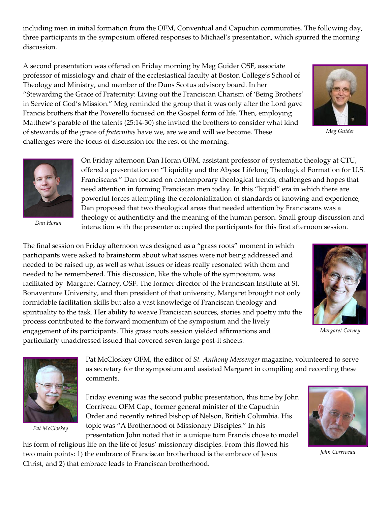including men in initial formation from the OFM, Conventual and Capuchin communities. The following day, three participants in the symposium offered responses to Michael's presentation, which spurred the morning discussion.

A second presentation was offered on Friday morning by Meg Guider OSF, associate professor of missiology and chair of the ecclesiastical faculty at Boston College's School of Theology and Ministry, and member of the Duns Scotus advisory board. In her "Stewarding the Grace of Fraternity: Living out the Franciscan Charism of 'Being Brothers' in Service of God's Mission." Meg reminded the group that it was only after the Lord gave Francis brothers that the Poverello focused on the Gospel form of life. Then, employing Matthew's parable of the talents (25:14-30) she invited the brothers to consider what kind of stewards of the grace of *fraternitas* have we, are we and will we become. These challenges were the focus of discussion for the rest of the morning.



*Meg Guider*



*Dan Horan*

On Friday afternoon Dan Horan OFM, assistant professor of systematic theology at CTU, offered a presentation on "Liquidity and the Abyss: Lifelong Theological Formation for U.S. Franciscans." Dan focused on contemporary theological trends, challenges and hopes that need attention in forming Franciscan men today. In this "liquid" era in which there are powerful forces attempting the decolonialization of standards of knowing and experience, Dan proposed that two theological areas that needed attention by Franciscans was a theology of authenticity and the meaning of the human person. Small group discussion and interaction with the presenter occupied the participants for this first afternoon session.

The final session on Friday afternoon was designed as a "grass roots" moment in which participants were asked to brainstorm about what issues were not being addressed and needed to be raised up, as well as what issues or ideas really resonated with them and needed to be remembered. This discussion, like the whole of the symposium, was facilitated by Margaret Carney, OSF. The former director of the Franciscan Institute at St. Bonaventure University, and then president of that university, Margaret brought not only formidable facilitation skills but also a vast knowledge of Franciscan theology and spirituality to the task. Her ability to weave Franciscan sources, stories and poetry into the process contributed to the forward momentum of the symposium and the lively engagement of its participants. This grass roots session yielded affirmations and particularly unaddressed issued that covered seven large post-it sheets.



*Margaret Carney*



*Pat McCloskey*

Pat McCloskey OFM, the editor of *St. Anthony Messenger* magazine, volunteered to serve as secretary for the symposium and assisted Margaret in compiling and recording these comments.

Friday evening was the second public presentation, this time by John Corriveau OFM Cap., former general minister of the Capuchin Order and recently retired bishop of Nelson, British Columbia. His topic was "A Brotherhood of Missionary Disciples." In his presentation John noted that in a unique turn Francis chose to model

his form of religious life on the life of Jesus' missionary disciples. From this flowed his two main points: 1) the embrace of Franciscan brotherhood is the embrace of Jesus Christ, and 2) that embrace leads to Franciscan brotherhood.



*John Corriveau*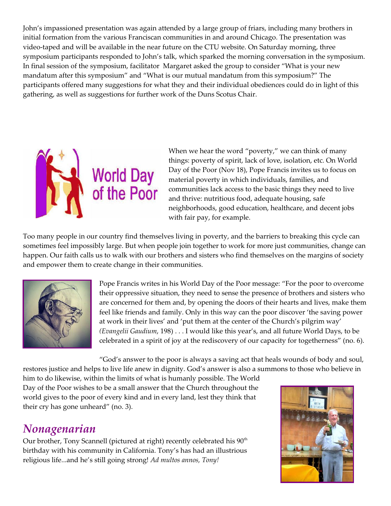John's impassioned presentation was again attended by a large group of friars, including many brothers in initial formation from the various Franciscan communities in and around Chicago. The presentation was video-taped and will be available in the near future on the CTU website. On Saturday morning, three symposium participants responded to John's talk, which sparked the morning conversation in the symposium. In final session of the symposium, facilitator Margaret asked the group to consider "What is your new mandatum after this symposium" and "What is our mutual mandatum from this symposium?" The participants offered many suggestions for what they and their individual obediences could do in light of this gathering, as well as suggestions for further work of the Duns Scotus Chair.



When we hear the word "poverty," we can think of many things: poverty of spirit, lack of love, isolation, etc. On World Day of the Poor (Nov 18), Pope Francis invites us to focus on material poverty in which individuals, families, and communities lack access to the basic things they need to live and thrive: nutritious food, adequate housing, safe neighborhoods, good education, healthcare, and decent jobs with fair pay, for example.

Too many people in our country find themselves living in poverty, and the barriers to breaking this cycle can sometimes feel impossibly large. But when people join together to work for more just communities, change can happen. Our faith calls us to walk with our brothers and sisters who find themselves on the margins of society and empower them to create change in their communities.



Pope Francis writes in his World Day of the Poor message: "For the poor to overcome their oppressive situation, they need to sense the presence of brothers and sisters who are concerned for them and, by opening the doors of their hearts and lives, make them feel like friends and family. Only in this way can the poor discover 'the saving power at work in their lives' and 'put them at the center of the Church's pilgrim way' *(Evangelii Gaudium*, 198) . . . I would like this year's, and all future World Days, to be celebrated in a spirit of joy at the rediscovery of our capacity for togetherness" (no. 6).

"God's answer to the poor is always a saving act that heals wounds of body and soul, restores justice and helps to live life anew in dignity. God's answer is also a summons to those who believe in

him to do likewise, within the limits of what is humanly possible. The World Day of the Poor wishes to be a small answer that the Church throughout the world gives to the poor of every kind and in every land, lest they think that their cry has gone unheard" (no. 3).

## *Nonagenarian*

Our brother, Tony Scannell (pictured at right) recently celebrated his 90<sup>th</sup> birthday with his community in California. Tony's has had an illustrious religious life...and he's still going strong! *Ad multos annos, Tony!*